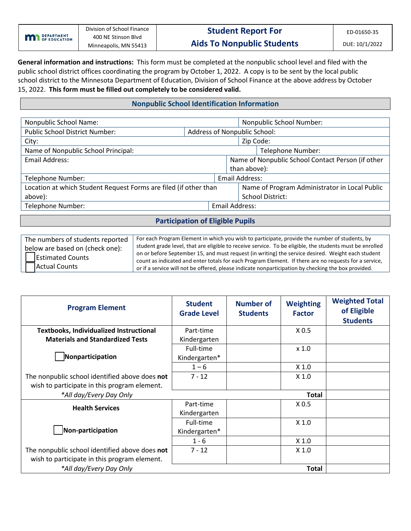| <b>M</b> DEPARTMENT | Division of School Finance<br>400 NE Stinson Blyd | <b>Student Report For</b>         | ED-01650-35    |
|---------------------|---------------------------------------------------|-----------------------------------|----------------|
|                     | Minneapolis, MN 55413                             | <b>Aids To Nonpublic Students</b> | DUE: 10/1/2022 |

 **General information and instructions:** This form must be completed at the nonpublic school level and filed with the school district to the Minnesota Department of Education, Division of School Finance at the above address by October 15, 2022. **This form must be filled out completely to be considered valid.**  public school district offices coordinating the program by October 1, 2022. A copy is to be sent by the local public

## **Nonpublic School Identification Information**

| Nonpublic School Name:                                           |  |                              | Nonpublic School Number:                          |                       |  |  |
|------------------------------------------------------------------|--|------------------------------|---------------------------------------------------|-----------------------|--|--|
| <b>Public School District Number:</b>                            |  | Address of Nonpublic School: |                                                   |                       |  |  |
| City:                                                            |  |                              |                                                   | Zip Code:             |  |  |
| Name of Nonpublic School Principal:                              |  |                              | Telephone Number:                                 |                       |  |  |
| Email Address:                                                   |  |                              | Name of Nonpublic School Contact Person (if other |                       |  |  |
|                                                                  |  |                              | than above):                                      |                       |  |  |
| Telephone Number:                                                |  |                              |                                                   | <b>Email Address:</b> |  |  |
| Location at which Student Request Forms are filed (if other than |  |                              | Name of Program Administrator in Local Public     |                       |  |  |
| above):                                                          |  |                              | <b>School District:</b>                           |                       |  |  |
| Telephone Number:                                                |  |                              | Email Address:                                    |                       |  |  |

## **Participation of Eligible Pupils**

| The numbers of students reported | For each Program Element in which you wish to participate, provide the number of students, by                                                                                                                 |
|----------------------------------|---------------------------------------------------------------------------------------------------------------------------------------------------------------------------------------------------------------|
| below are based on (check one):  | student grade level, that are eligible to receive service. To be eligible, the students must be enrolled<br>on or before September 15, and must request (in writing) the service desired. Weight each student |
| <b>Estimated Counts</b>          | count as indicated and enter totals for each Program Element. If there are no requests for a service,                                                                                                         |
| <b>Actual Counts</b>             | or if a service will not be offered, please indicate nonparticipation by checking the box provided.                                                                                                           |

| <b>Program Element</b>                         | <b>Student</b><br><b>Grade Level</b> | Number of<br><b>Students</b> | <b>Weighting</b><br><b>Factor</b> | <b>Weighted Total</b><br>of Eligible<br><b>Students</b> |
|------------------------------------------------|--------------------------------------|------------------------------|-----------------------------------|---------------------------------------------------------|
| <b>Textbooks, Individualized Instructional</b> | Part-time                            |                              | X <sub>0.5</sub>                  |                                                         |
| <b>Materials and Standardized Tests</b>        | Kindergarten                         |                              |                                   |                                                         |
|                                                | Full-time                            |                              | $x$ 1.0                           |                                                         |
| Nonparticipation                               | Kindergarten*                        |                              |                                   |                                                         |
|                                                | $1 - 6$                              |                              | X <sub>1.0</sub>                  |                                                         |
| The nonpublic school identified above does not | $7 - 12$                             |                              | $X$ 1.0                           |                                                         |
| wish to participate in this program element.   |                                      |                              |                                   |                                                         |
| *All day/Every Day Only                        |                                      |                              | <b>Total</b>                      |                                                         |
| <b>Health Services</b>                         | Part-time                            |                              | X <sub>0.5</sub>                  |                                                         |
|                                                | Kindergarten                         |                              |                                   |                                                         |
|                                                | Full-time                            |                              | X <sub>1.0</sub>                  |                                                         |
| Non-participation                              | Kindergarten*                        |                              |                                   |                                                         |
|                                                | $1 - 6$                              |                              | X <sub>1.0</sub>                  |                                                         |
| The nonpublic school identified above does not | $7 - 12$                             |                              | X <sub>1.0</sub>                  |                                                         |
| wish to participate in this program element.   |                                      |                              |                                   |                                                         |
| *All day/Every Day Only                        |                                      |                              | <b>Total</b>                      |                                                         |